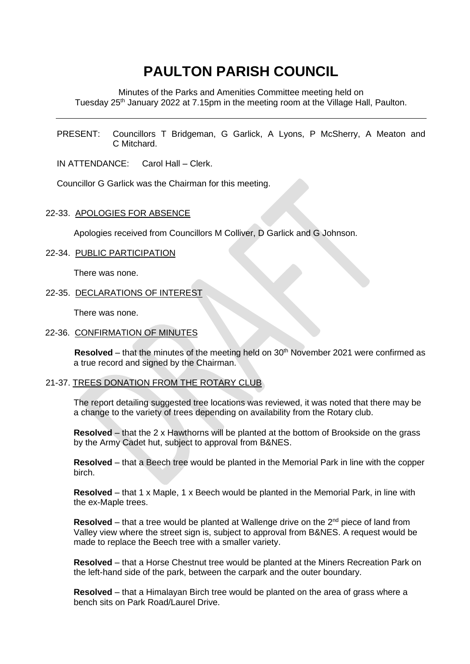# **PAULTON PARISH COUNCIL**

Minutes of the Parks and Amenities Committee meeting held on Tuesday 25<sup>th</sup> January 2022 at 7.15pm in the meeting room at the Village Hall, Paulton.

PRESENT: Councillors T Bridgeman, G Garlick, A Lyons, P McSherry, A Meaton and C Mitchard.

IN ATTENDANCE: Carol Hall – Clerk.

Councillor G Garlick was the Chairman for this meeting.

# 22-33. APOLOGIES FOR ABSENCE

Apologies received from Councillors M Colliver, D Garlick and G Johnson.

#### 22-34. PUBLIC PARTICIPATION

There was none.

# 22-35. DECLARATIONS OF INTEREST

There was none.

#### 22-36. CONFIRMATION OF MINUTES

**Resolved** – that the minutes of the meeting held on 30<sup>th</sup> November 2021 were confirmed as a true record and signed by the Chairman.

# 21-37. TREES DONATION FROM THE ROTARY CLUB

The report detailing suggested tree locations was reviewed, it was noted that there may be a change to the variety of trees depending on availability from the Rotary club.

**Resolved** – that the 2 x Hawthorns will be planted at the bottom of Brookside on the grass by the Army Cadet hut, subject to approval from B&NES.

**Resolved** – that a Beech tree would be planted in the Memorial Park in line with the copper birch.

**Resolved** – that 1 x Maple, 1 x Beech would be planted in the Memorial Park, in line with the ex-Maple trees.

**Resolved** – that a tree would be planted at Wallenge drive on the 2<sup>nd</sup> piece of land from Valley view where the street sign is, subject to approval from B&NES. A request would be made to replace the Beech tree with a smaller variety.

**Resolved** – that a Horse Chestnut tree would be planted at the Miners Recreation Park on the left-hand side of the park, between the carpark and the outer boundary.

**Resolved** – that a Himalayan Birch tree would be planted on the area of grass where a bench sits on Park Road/Laurel Drive.